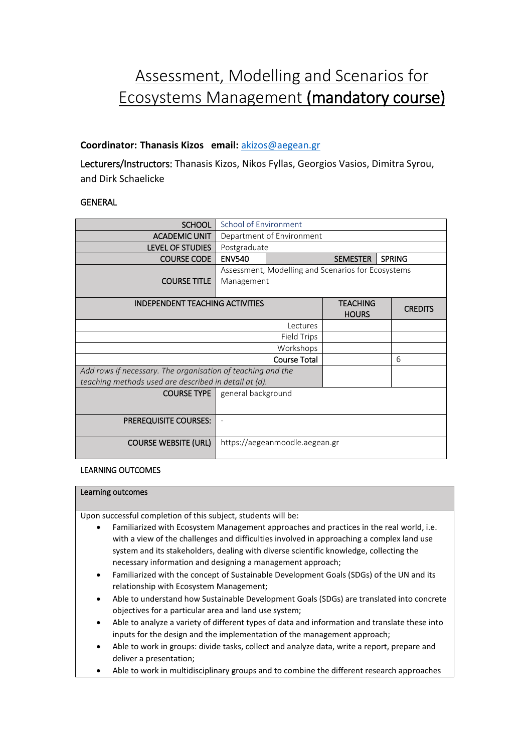# Assessment, Modelling and Scenarios for Ecosystems Management (mandatory course)

# **Coordinator: Thanasis Kizos email:** [akizos@aegean.gr](mailto:akizos@aegean.gr)

Lecturers/Instructors: Thanasis Kizos, Nikos Fyllas, Georgios Vasios, Dimitra Syrou, and Dirk Schaelicke

## **GENERAL**

| <b>SCHOOL</b>                                               | School of Environment                              |                                  |                |   |
|-------------------------------------------------------------|----------------------------------------------------|----------------------------------|----------------|---|
| <b>ACADEMIC UNIT</b>                                        | Department of Environment                          |                                  |                |   |
| <b>LEVEL OF STUDIES</b>                                     | Postgraduate                                       |                                  |                |   |
| <b>COURSE CODE</b>                                          | <b>ENV540</b>                                      | <b>SPRING</b><br><b>SEMESTER</b> |                |   |
|                                                             | Assessment, Modelling and Scenarios for Ecosystems |                                  |                |   |
| <b>COURSE TITLE</b>                                         | Management                                         |                                  |                |   |
|                                                             |                                                    |                                  |                |   |
| <b>INDEPENDENT TEACHING ACTIVITIES</b>                      |                                                    | <b>TEACHING</b>                  | <b>CREDITS</b> |   |
|                                                             |                                                    | <b>HOURS</b>                     |                |   |
| Lectures                                                    |                                                    |                                  |                |   |
| <b>Field Trips</b>                                          |                                                    |                                  |                |   |
| Workshops                                                   |                                                    |                                  |                |   |
| <b>Course Total</b>                                         |                                                    |                                  |                | 6 |
| Add rows if necessary. The organisation of teaching and the |                                                    |                                  |                |   |
| teaching methods used are described in detail at (d).       |                                                    |                                  |                |   |
| <b>COURSE TYPE</b>                                          | general background                                 |                                  |                |   |
|                                                             |                                                    |                                  |                |   |
| <b>PREREQUISITE COURSES:</b>                                |                                                    |                                  |                |   |
|                                                             |                                                    |                                  |                |   |
| <b>COURSE WEBSITE (URL)</b>                                 | https://aegeanmoodle.aegean.gr                     |                                  |                |   |
|                                                             |                                                    |                                  |                |   |

## LEARNING OUTCOMES

#### Learning outcomes

Upon successful completion of this subject, students will be:

- Familiarized with Ecosystem Management approaches and practices in the real world, i.e. with a view of the challenges and difficulties involved in approaching a complex land use system and its stakeholders, dealing with diverse scientific knowledge, collecting the necessary information and designing a management approach;
- Familiarized with the concept of Sustainable Development Goals (SDGs) of the UN and its relationship with Ecosystem Management;
- Able to understand how Sustainable Development Goals (SDGs) are translated into concrete objectives for a particular area and land use system;
- Able to analyze a variety of different types of data and information and translate these into inputs for the design and the implementation of the management approach;
- Able to work in groups: divide tasks, collect and analyze data, write a report, prepare and deliver a presentation;
- Able to work in multidisciplinary groups and to combine the different research approaches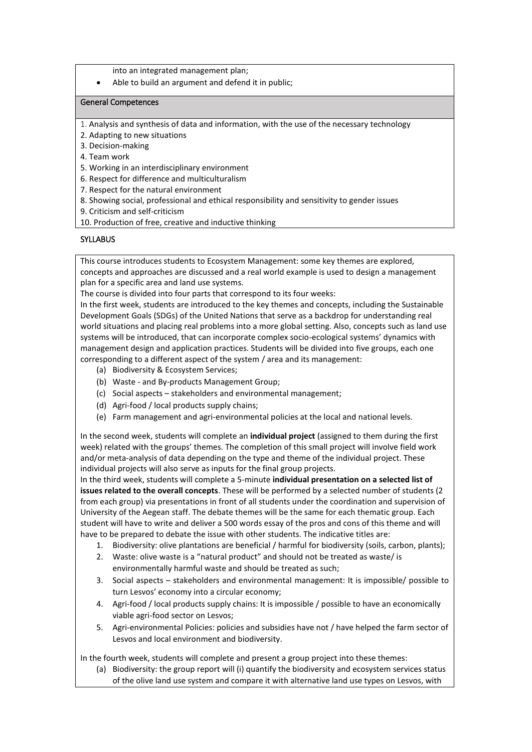into an integrated management plan;

Able to build an argument and defend it in public;

#### General Competences

- 1. Analysis and synthesis of data and information, with the use of the necessary technology
- 2. Adapting to new situations
- 3. Decision-making
- 4. Team work
- 5. Working in an interdisciplinary environment
- 6. Respect for difference and multiculturalism
- 7. Respect for the natural environment
- 8. Showing social, professional and ethical responsibility and sensitivity to gender issues
- 9. Criticism and self-criticism
- 10. Production of free, creative and inductive thinking

### **SYLLABUS**

This course introduces students to Ecosystem Management: some key themes are explored, concepts and approaches are discussed and a real world example is used to design a management plan for a specific area and land use systems.

The course is divided into four parts that correspond to its four weeks:

In the first week, students are introduced to the key themes and concepts, including the Sustainable Development Goals (SDGs) of the United Nations that serve as a backdrop for understanding real world situations and placing real problems into a more global setting. Also, concepts such as land use systems will be introduced, that can incorporate complex socio-ecological systems' dynamics with management design and application practices. Students will be divided into five groups, each one corresponding to a different aspect of the system / area and its management:

- (a) Biodiversity & Ecosystem Services;
- (b) Waste and By-products Management Group;
- (c) Social aspects stakeholders and environmental management;
- (d) Agri-food / local products supply chains;
- (e) Farm management and agri-environmental policies at the local and national levels.

In the second week, students will complete an **individual project** (assigned to them during the first week) related with the groups' themes. The completion of this small project will involve field work and/or meta-analysis of data depending on the type and theme of the individual project. These individual projects will also serve as inputs for the final group projects.

In the third week, students will complete a 5-minute **individual presentation on a selected list of issues related to the overall concepts**. These will be performed by a selected number of students (2 from each group) via presentations in front of all students under the coordination and supervision of University of the Aegean staff. The debate themes will be the same for each thematic group. Each student will have to write and deliver a 500 words essay of the pros and cons of this theme and will have to be prepared to debate the issue with other students. The indicative titles are:

- 1. Biodiversity: olive plantations are beneficial / harmful for biodiversity (soils, carbon, plants);
- 2. Waste: olive waste is a "natural product" and should not be treated as waste/ is environmentally harmful waste and should be treated as such;
- 3. Social aspects stakeholders and environmental management: It is impossible/ possible to turn Lesvos' economy into a circular economy;
- 4. Agri-food / local products supply chains: It is impossible / possible to have an economically viable agri-food sector on Lesvos;
- 5. Agri-environmental Policies: policies and subsidies have not / have helped the farm sector of Lesvos and local environment and biodiversity.

In the fourth week, students will complete and present a group project into these themes:

(a) Biodiversity: the group report will (i) quantify the biodiversity and ecosystem services status of the olive land use system and compare it with alternative land use types on Lesvos, with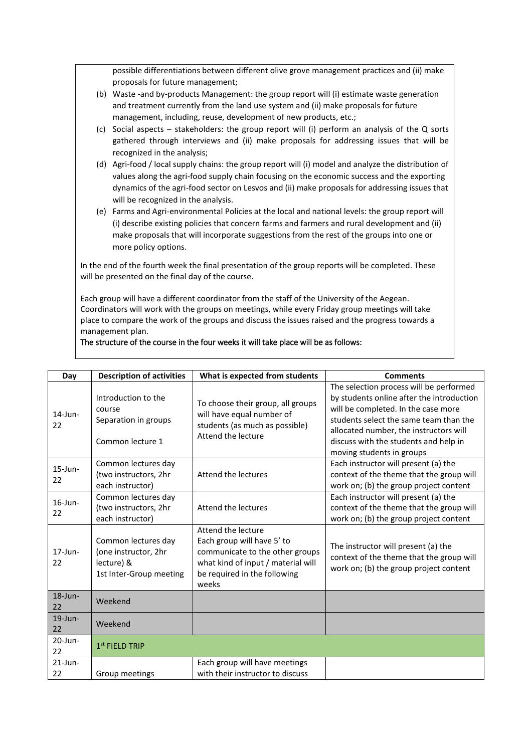possible differentiations between different olive grove management practices and (ii) make proposals for future management;

- (b) Waste -and by-products Management: the group report will (i) estimate waste generation and treatment currently from the land use system and (ii) make proposals for future management, including, reuse, development of new products, etc.;
- (c) Social aspects stakeholders: the group report will (i) perform an analysis of the Q sorts gathered through interviews and (ii) make proposals for addressing issues that will be recognized in the analysis;
- (d) Agri-food / local supply chains: the group report will (i) model and analyze the distribution of values along the agri-food supply chain focusing on the economic success and the exporting dynamics of the agri-food sector on Lesvos and (ii) make proposals for addressing issues that will be recognized in the analysis.
- (e) Farms and Agri-environmental Policies at the local and national levels: the group report will (i) describe existing policies that concern farms and farmers and rural development and (ii) make proposals that will incorporate suggestions from the rest of the groups into one or more policy options.

In the end of the fourth week the final presentation of the group reports will be completed. These will be presented on the final day of the course.

Each group will have a different coordinator from the staff of the University of the Aegean. Coordinators will work with the groups on meetings, while every Friday group meetings will take place to compare the work of the groups and discuss the issues raised and the progress towards a management plan.

#### The structure of the course in the four weeks it will take place will be as follows:

| Day              | <b>Description of activities</b>                                                     | What is expected from students                                                                                                                                     | <b>Comments</b>                                                                                                                                                                                                                                                                       |
|------------------|--------------------------------------------------------------------------------------|--------------------------------------------------------------------------------------------------------------------------------------------------------------------|---------------------------------------------------------------------------------------------------------------------------------------------------------------------------------------------------------------------------------------------------------------------------------------|
| $14$ -Jun-<br>22 | Introduction to the<br>course<br>Separation in groups<br>Common lecture 1            | To choose their group, all groups<br>will have equal number of<br>students (as much as possible)<br>Attend the lecture                                             | The selection process will be performed<br>by students online after the introduction<br>will be completed. In the case more<br>students select the same team than the<br>allocated number, the instructors will<br>discuss with the students and help in<br>moving students in groups |
| $15$ -Jun-<br>22 | Common lectures day<br>(two instructors, 2hr<br>each instructor)                     | Attend the lectures                                                                                                                                                | Each instructor will present (a) the<br>context of the theme that the group will<br>work on; (b) the group project content                                                                                                                                                            |
| $16$ -Jun-<br>22 | Common lectures day<br>(two instructors, 2hr<br>each instructor)                     | Attend the lectures                                                                                                                                                | Each instructor will present (a) the<br>context of the theme that the group will<br>work on; (b) the group project content                                                                                                                                                            |
| $17$ -Jun-<br>22 | Common lectures day<br>(one instructor, 2hr<br>lecture) &<br>1st Inter-Group meeting | Attend the lecture<br>Each group will have 5' to<br>communicate to the other groups<br>what kind of input / material will<br>be required in the following<br>weeks | The instructor will present (a) the<br>context of the theme that the group will<br>work on; (b) the group project content                                                                                                                                                             |
| $18$ -Jun-<br>22 | Weekend                                                                              |                                                                                                                                                                    |                                                                                                                                                                                                                                                                                       |
| $19$ -Jun-<br>22 | Weekend                                                                              |                                                                                                                                                                    |                                                                                                                                                                                                                                                                                       |
| $20$ -Jun-<br>22 | $1st$ FIELD TRIP                                                                     |                                                                                                                                                                    |                                                                                                                                                                                                                                                                                       |
| $21$ -Jun-<br>22 | Group meetings                                                                       | Each group will have meetings<br>with their instructor to discuss                                                                                                  |                                                                                                                                                                                                                                                                                       |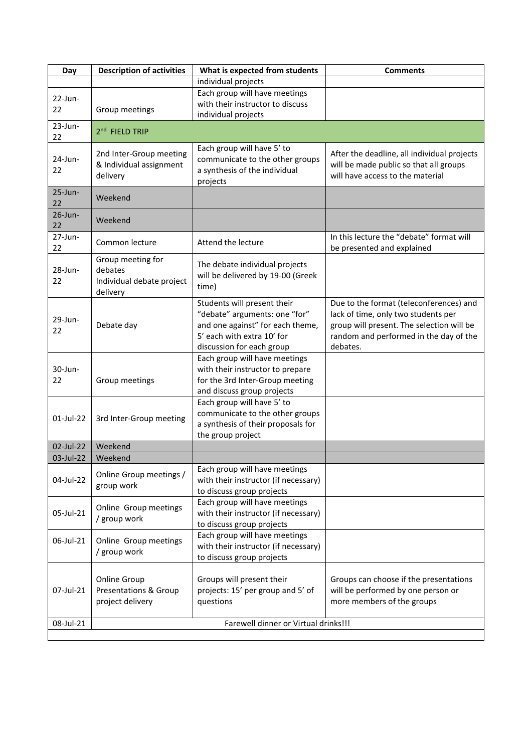| Day        | <b>Description of activities</b>      | What is expected from students                                | <b>Comments</b>                             |  |
|------------|---------------------------------------|---------------------------------------------------------------|---------------------------------------------|--|
|            |                                       | individual projects                                           |                                             |  |
| $22$ -Jun- |                                       | Each group will have meetings                                 |                                             |  |
| 22         | Group meetings                        | with their instructor to discuss                              |                                             |  |
|            |                                       | individual projects                                           |                                             |  |
| 23-Jun-    | 2 <sup>nd</sup> FIELD TRIP            |                                                               |                                             |  |
| 22         |                                       |                                                               |                                             |  |
| 24-Jun-    | 2nd Inter-Group meeting               | Each group will have 5' to<br>communicate to the other groups | After the deadline, all individual projects |  |
| 22         | & Individual assignment               | a synthesis of the individual                                 | will be made public so that all groups      |  |
|            | delivery                              | projects                                                      | will have access to the material            |  |
| 25-Jun-    |                                       |                                                               |                                             |  |
| 22         | Weekend                               |                                                               |                                             |  |
| $26$ -Jun- | Weekend                               |                                                               |                                             |  |
| 22         |                                       |                                                               |                                             |  |
| $27$ -Jun- | Common lecture                        | Attend the lecture                                            | In this lecture the "debate" format will    |  |
| 22         |                                       |                                                               | be presented and explained                  |  |
|            | Group meeting for                     | The debate individual projects                                |                                             |  |
| 28-Jun-    | debates                               | will be delivered by 19-00 (Greek                             |                                             |  |
| 22         | Individual debate project<br>delivery | time)                                                         |                                             |  |
|            |                                       | Students will present their                                   | Due to the format (teleconferences) and     |  |
|            |                                       | "debate" arguments: one "for"                                 | lack of time, only two students per         |  |
| 29-Jun-    | Debate day                            | and one against" for each theme,                              | group will present. The selection will be   |  |
| 22         |                                       | 5' each with extra 10' for                                    | random and performed in the day of the      |  |
|            |                                       | discussion for each group                                     | debates.                                    |  |
|            |                                       | Each group will have meetings                                 |                                             |  |
| 30-Jun-    |                                       | with their instructor to prepare                              |                                             |  |
| 22         | Group meetings                        | for the 3rd Inter-Group meeting                               |                                             |  |
|            |                                       | and discuss group projects                                    |                                             |  |
|            |                                       | Each group will have 5' to                                    |                                             |  |
| 01-Jul-22  | 3rd Inter-Group meeting               | communicate to the other groups                               |                                             |  |
|            |                                       | a synthesis of their proposals for                            |                                             |  |
|            |                                       | the group project                                             |                                             |  |
| 02-Jul-22  | Weekend                               |                                                               |                                             |  |
| 03-Jul-22  | Weekend                               | Each group will have meetings                                 |                                             |  |
| 04-Jul-22  | Online Group meetings /               | with their instructor (if necessary)                          |                                             |  |
|            | group work                            | to discuss group projects                                     |                                             |  |
|            |                                       | Each group will have meetings                                 |                                             |  |
| 05-Jul-21  | Online Group meetings                 | with their instructor (if necessary)                          |                                             |  |
|            | / group work                          | to discuss group projects                                     |                                             |  |
|            |                                       | Each group will have meetings                                 |                                             |  |
| 06-Jul-21  | Online Group meetings                 | with their instructor (if necessary)                          |                                             |  |
|            | / group work                          | to discuss group projects                                     |                                             |  |
|            |                                       |                                                               |                                             |  |
|            | <b>Online Group</b>                   | Groups will present their                                     | Groups can choose if the presentations      |  |
| 07-Jul-21  | Presentations & Group                 | projects: 15' per group and 5' of                             | will be performed by one person or          |  |
|            | project delivery                      | questions                                                     | more members of the groups                  |  |
| 08-Jul-21  |                                       | Farewell dinner or Virtual drinks!!!                          |                                             |  |
|            |                                       |                                                               |                                             |  |